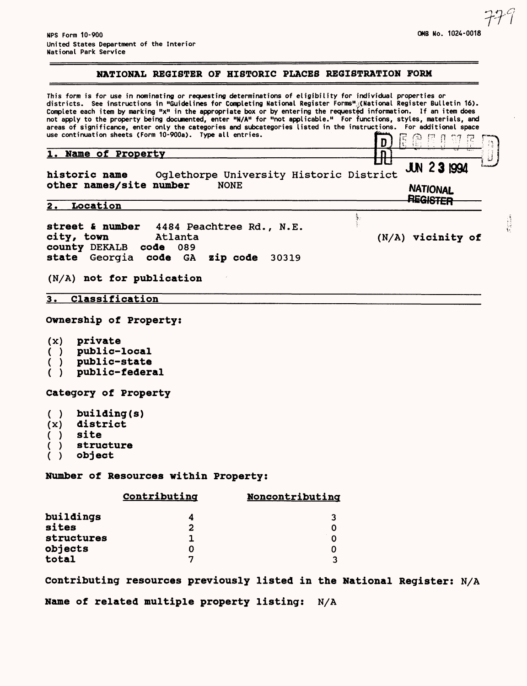#### NATIONAL REGISTER OF HISTORIC PLACES REGISTRATION FORM

This form is for use in nominating or requesting determinations of eligibility for individual properties or districts. See instructions in "Guidelines for Completing National Register Forms" (National Register Bulletin 16). Complete each item by marking "x" in the appropriate box or by entering the requested information. If an item does not apply to the property being documented, enter "N/A" for "not applicable." For functions, styles, materials, and areas of significance, enter only the categories and subcategories listed in the instructions. For additional space use continuation sheets (Form 10-900a). Type all entries.  $\begin{bmatrix} \cdot & \cdot & \cdot \\ \cdot & \cdot & \cdot \\ \cdot & \cdot & \cdot \end{bmatrix} \begin{bmatrix} \cdot & \cdot & \cdot \\ \cdot & \cdot & \cdot \\ \cdot & \cdot & \cdot \end{bmatrix}$ ्रा  $\frac{1}{2}$  Name of Proporty Name of Property JUN 231994 historic name Oglethorpe University Historic District other names/site number NONE **NATIONAL** REGISTER 2. Location **street & number** 4484 Peachtree Rd., N.E. **city/ town** Atlanta (N/A) vicinity of **county DEKALB code**<br>**state** Georgia code state Georgia code GA zip code 30319 (N/A) not for publication 3. Classification Ownership of Property: (x) private ( ) public-local ( ) public-state ( ) public-federal Category of Property ( ) building(s) (x) district ( ) site ) structure ( ) object Number of Resources within Property: Contributing Noncontributina buildings 4 3 sites 2 0 structures 1  $\Omega$ objects 0 0 total 7 3 Contributing resources previously listed in the National Register: N/A

Name of related multiple property listing: N/A

779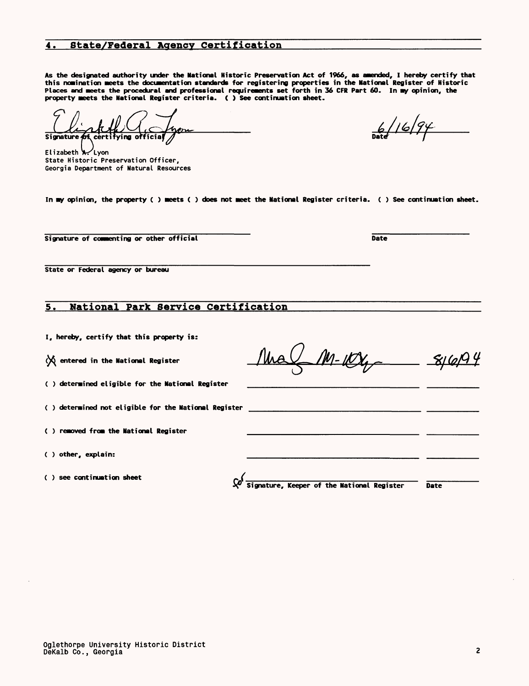Oglethorpe University Historic District DeKalb Co., Georgia

# 4. State/Federal Agency Certification

**As the designated authority under the National Historic Preservation Act of 1966, as amended, I hereby certify that this nomination meets the documentation standards for registering properties in the National Register of Historic Places and meets the procedural and professional requirements set forth in 36 CFR Part 60. In my opinion, the property meets the National Register criteria. ( ) See continuation sheet.**

Signatu

Elizabeth X 'Lyon State Historic Preservation Officer, Georgia Department of Natural Resources

**In ay opinion, the property ( ) Meets ( ) does not Meet the National Register criteria. ( ) See continuation sheet.**

**Signature of commenting or other official Commenting or other official Commenting or other official Commenting or other official Commenting or other official Commenting or other official Commenting or other official Comme** 

**State or Federal agency or bureau**

# 5. National Park Service Certification\_\_\_\_\_\_\_\_\_\_\_\_

**I, hereby, certify that this property is:**

**()6 entered in the National Register**

**( ) determined eligible for the National Register**

**( ) determined not eligible for the National Register**

**( ) removed from the National Register**

**( ) other, explain:**

**( ) see continuation sheet**

**Signature, Keeper of the National Register Date**

**Dat** <u>| 6 |</u>

M- iK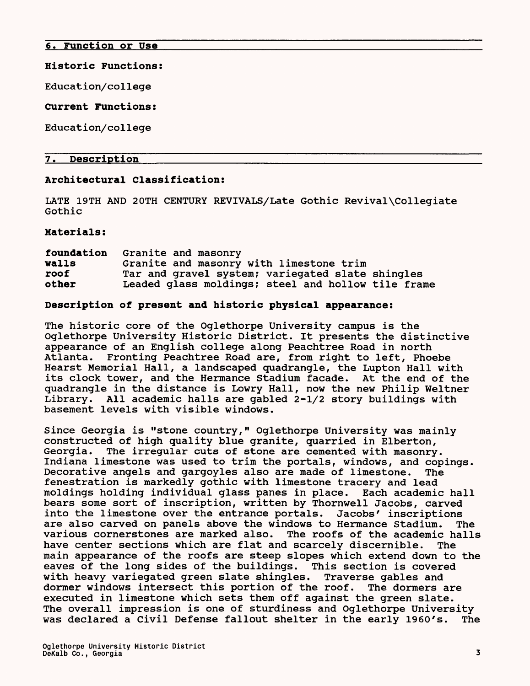## 6. Function or Use

#### Historic Functions:

Education/college

## Current Functions:

Education/college

# 7. Description

## Architectural Classification:

LATE 19TH AND 20TH CENTURY REVIVALS/Late Gothic Revival\Collegiate Gothic

Materials:

| foundation | Granite and masonry                                |
|------------|----------------------------------------------------|
| walls      | Granite and masonry with limestone trim            |
| roof       | Tar and gravel system; variegated slate shingles   |
| other      | Leaded glass moldings; steel and hollow tile frame |

# Description of present and historic physical appearance:

The historic core of the Oglethorpe University campus is the Oglethorpe University Historic District. It presents the distinctive appearance of an English college along Peachtree Road in north Atlanta. Fronting Peachtree Road are, from right to left, Phoebe Hearst Memorial Hall, a landscaped quadrangle, the Lupton Hall with its clock tower, and the Hermance Stadium facade. At the end of the quadrangle in the distance is Lowry Hall, now the new Philip Weltner Library. All academic halls are gabled 2-1/2 story buildings with basement levels with visible windows.

Since Georgia is "stone country," Oglethorpe University was mainly constructed of high quality blue granite, quarried in Elberton, Georgia. The irregular cuts of stone are cemented with masonry. Indiana limestone was used to trim the portals, windows, and copings. Decorative angels and gargoyles also are made of limestone. The fenestration is markedly gothic with limestone tracery and lead moldings holding individual glass panes in place. Each academic hall bears some sort of inscription, written by Thornwell Jacobs, carved into the limestone over the entrance portals. Jacobs' inscriptions are also carved on panels above the windows to Hermance Stadium. The various cornerstones are marked also. The roofs of the academic halls have center sections which are flat and scarcely discernible. The main appearance of the roofs are steep slopes which extend down to the eaves of the long sides of the buildings. This section is covered with heavy variegated green slate shingles. Traverse gables and dormer windows intersect this portion of the roof. The dormers are executed in limestone which sets them off against the green slate. The overall impression is one of sturdiness and Oglethorpe University was declared a Civil Defense fallout shelter in the early 1960's. The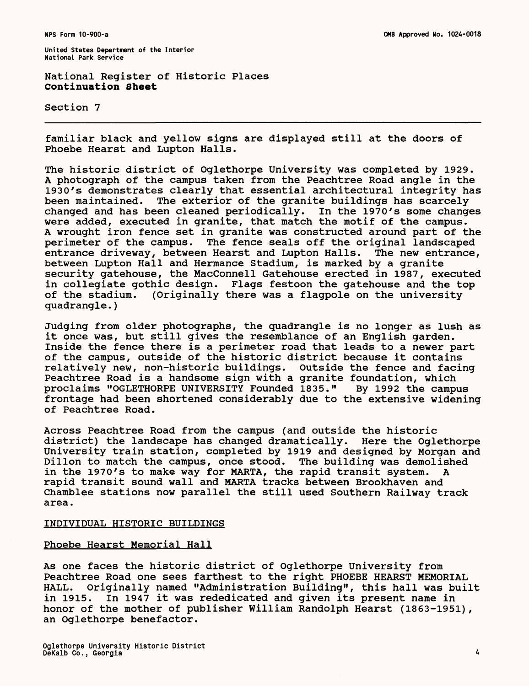National Register of Historic Places Continuation Sheet

Section 7

familiar black and yellow signs are displayed still at the doors of Phoebe Hearst and Lupton Halls.

The historic district of Oglethorpe University was completed by 1929. A photograph of the campus taken from the Peachtree Road angle in the 1930's demonstrates clearly that essential architectural integrity has been maintained. The exterior of the granite buildings has scarcely changed and has been cleaned periodically. In the 1970's some changes were added, executed in granite, that match the motif of the campus. A wrought iron fence set in granite was constructed around part of the perimeter of the campus. The fence seals off the original landscaped entrance driveway, between Hearst and Lupton Halls. The new entrance, between Lupton Hall and Hermance Stadium, is marked by a granite security gatehouse, the MacConnell Gatehouse erected in 1987, executed in collegiate gothic design. Flags festoon the gatehouse and the top of the stadium. (Originally there was a flagpole on the university quadrangle.)

Judging from older photographs, the quadrangle is no longer as lush as it once was, but still gives the resemblance of an English garden. Inside the fence there is a perimeter road that leads to a newer part of the campus, outside of the historic district because it contains relatively new, non-historic buildings. Outside the fence and facing Peachtree Road is a handsome sign with a granite foundation, which proclaims "OGLETHORPE UNIVERSITY Founded 1835." By 1992 the campus frontage had been shortened considerably due to the extensive widening of Peachtree Road.

Across Peachtree Road from the campus (and outside the historic district) the landscape has changed dramatically. Here the Oglethorpe University train station, completed by 1919 and designed by Morgan and Dillon to match the campus, once stood. The building was demolished in the 1970's to make way for MARTA, the rapid transit system. A rapid transit sound wall and MARTA tracks between Brookhaven and Chamblee stations now parallel the still used Southern Railway track area.

#### INDIVIDUAL HISTORIC BUILDINGS

#### Phoebe Hearst Memorial Hall

As one faces the historic district of Oglethorpe University from Peachtree Road one sees farthest to the right PHOEBE HEARST MEMORIAL HALL. Originally named "Administration Building", this hall was built in 1915. In 1947 it was rededicated and given its present name in honor of the mother of publisher William Randolph Hearst (1863-1951), an Oglethorpe benefactor.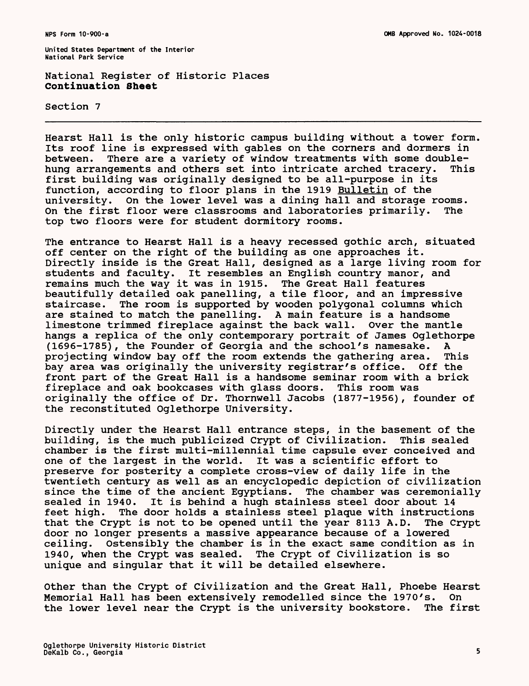National Register of Historic Places **Continuation Sheet**

Section 7

Hearst Hall is the only historic campus building without a tower form. Its roof line is expressed with gables on the corners and dormers in between. There are a variety of window treatments with some doublehung arrangements and others set into intricate arched tracery. This first building was originally designed to be all-purpose in its function, according to floor plans in the 1919 Bulletin of the university. On the lower level was a dining hall and storage rooms. On the first floor were classrooms and laboratories primarily. The top two floors were for student dormitory rooms.

The entrance to Hearst Hall is a heavy recessed gothic arch, situated off center on the right of the building as one approaches it. Directly inside is the Great Hall, designed as a large living room for students and faculty. It resembles an English country manor, and remains much the way it was in 1915. The Great Hall features beautifully detailed oak panelling, a tile floor, and an impressive staircase. The room is supported by wooden polygonal columns which are stained to match the panelling. A main feature is a handsome limestone trimmed fireplace against the back wall. Over the mantle hangs a replica of the only contemporary portrait of James Oglethorpe (1696-1785), the Founder of Georgia and the school's namesake. A projecting window bay off the room extends the gathering area. This bay area was originally the university registrar's office. Off the front part of the Great Hall is a handsome seminar room with a brick fireplace and oak bookcases with glass doors. This room was originally the office of Dr. Thornwell Jacobs (1877-1956), founder of the reconstituted Oglethorpe University.

Directly under the Hearst Hall entrance steps, in the basement of the building, is the much publicized Crypt of Civilization. This sealed chamber is the first multi-millennial time capsule ever conceived and one of the largest in the world. It was a scientific effort to preserve for posterity a complete cross-view of daily life in the twentieth century as well as an encyclopedic depiction of civilization since the time of the ancient Egyptians. The chamber was ceremonially sealed in 1940. It is behind a hugh stainless steel door about 14 It is behind a hugh stainless steel door about 14 feet high. The door holds a stainless steel plaque with instructions that the Crypt is not to be opened until the year 8113 A.D. The Crypt door no longer presents a massive appearance because of a lowered ceiling. Ostensibly the chamber is in the exact same condition as in 1940, when the Crypt was sealed. The Crypt of Civilization is so unique and singular that it will be detailed elsewhere.

Other than the Crypt of Civilization and the Great Hall, Phoebe Hearst Memorial Hall has been extensively remodelled since the 1970's. the lower level near the Crypt is the university bookstore. The first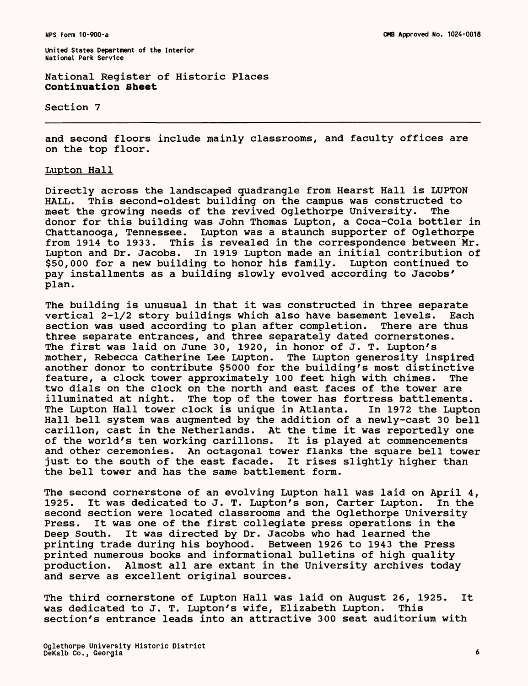National Register of Historic Places Continuation Sheet

Section 7

and second floors include mainly classrooms, and faculty offices are on the top floor.

# Lupton Hall

Directly across the landscaped quadrangle from Hearst Hall is LUPTON HALL. This second-oldest building on the campus was constructed to meet the growing needs of the revived Oglethorpe University. The donor for this building was John Thomas Lupton, a Coca-Cola bottler in Chattanooga, Tennessee. Lupton was a staunch supporter of Oglethorpe This is revealed in the correspondence between Mr. Lupton and Dr. Jacobs. In 1919 Lupton made an initial contribution of \$50,000 for a new building to honor his family. Lupton continued to pay installments as a building slowly evolved according to Jacobs' plan.

The building is unusual in that it was constructed in three separate vertical 2-1/2 story buildings which also have basement levels. Each section was used according to plan after completion. There are thus three separate entrances, and three separately dated cornerstones. The first was laid on June 30, 1920, in honor of J. T. Lupton's mother, Rebecca Catherine Lee Lupton. The Lupton generosity inspired another donor to contribute \$5000 for the building's most distinctive feature, a clock tower approximately 100 feet high with chimes. The two dials on the clock on the north and east faces of the tower are illuminated at night. The top of the tower has fortress battlements. The Lupton Hall tower clock is unique in Atlanta. In 1972 the Lupton Hall bell system was augmented by the addition of a newly-cast 30 bell carillon, cast in the Netherlands. At the time it was reportedly one<br>of the world's ten working carillons. It is played at commencements of the world's ten working carillons. and other ceremonies. An octagonal tower flanks the square bell tower just to the south of the east facade. It rises slightly higher than the bell tower and has the same battlement form.

The second cornerstone of an evolving Lupton hall was laid on April 4, 1925. It was dedicated to J. T. Lupton's son, Carter Lupton. In the second section were located classrooms and the Oglethorpe University Press. It was one of the first collegiate press operations in the Deep South. It was directed by Dr. Jacobs who had learned the printing trade during his boyhood. Between 1926 to 1943 the Press printed numerous books and informational bulletins of high quality production. Almost all are extant in the University archives today and serve as excellent original sources.

The third cornerstone of Lupton Hall was laid on August 26, 1925. It was dedicated to J. T. Lupton's wife, Elizabeth Lupton. This section's entrance leads into an attractive 300 seat auditorium with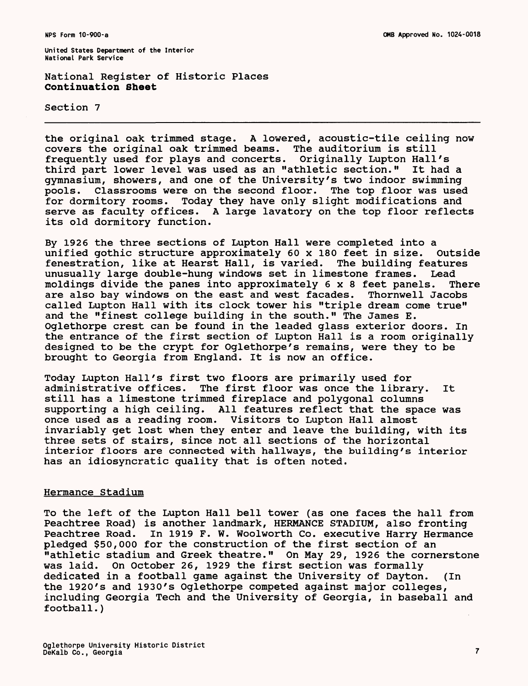National Register of Historic Places **Continuation Sheet**

Section 7

the original oak trimmed stage. A lowered, acoustic-tile ceiling now covers the original oak trimmed beams. The auditorium is still frequently used for plays and concerts. Originally Lupton Hall's third part lower level was used as an "athletic section." It had a gymnasium, showers, and one of the University's two indoor swimming pools. Classrooms were on the second floor. The top floor was used for dormitory rooms. Today they have only slight modifications and serve as faculty offices. A large lavatory on the top floor reflects its old dormitory function.

By 1926 the three sections of Lupton Hall were completed into a unified gothic structure approximately 60 x 180 feet in size. Outside fenestration, like at Hearst Hall, is varied. The building features unusually large double-hung windows set in limestone frames. Lead moldings divide the panes into approximately 6x8 feet panels. There are also bay windows on the east and west facades. Thornwell Jacobs called Lupton Hall with its clock tower his "triple dream come true" and the "finest college building in the south." The James E. Oglethorpe crest can be found in the leaded glass exterior doors. In the entrance of the first section of Lupton Hall is a room originally designed to be the crypt for Oglethorpe's remains, were they to be brought to Georgia from England. It is now an office.

Today Lupton Hall's first two floors are primarily used for administrative offices. The first floor was once the library. It still has a limestone trimmed fireplace and polygonal columns supporting a high ceiling. All features reflect that the space was once used as a reading room. Visitors to Lupton Hall almost invariably get lost when they enter and leave the building, with its three sets of stairs, since not all sections of the horizontal interior floors are connected with hallways, the building's interior has an idiosyncratic quality that is often noted.

#### Hermance Stadium

To the left of the Lupton Hall bell tower (as one faces the hall from Peachtree Road) is another landmark, HERMANCE STADIUM, also fronting Peachtree Road. In 1919 F. W. Woolworth Co. executive Harry Hermance pledged \$50,000 for the construction of the first section of an "athletic stadium and Greek theatre." On May 29, 1926 the cornerstone was laid. On October 26, 1929 the first section was formally dedicated in a football game against the University of Dayton. (In the 1920's and 1930's Oglethorpe competed against major colleges, including Georgia Tech and the University of Georgia, in baseball and football.)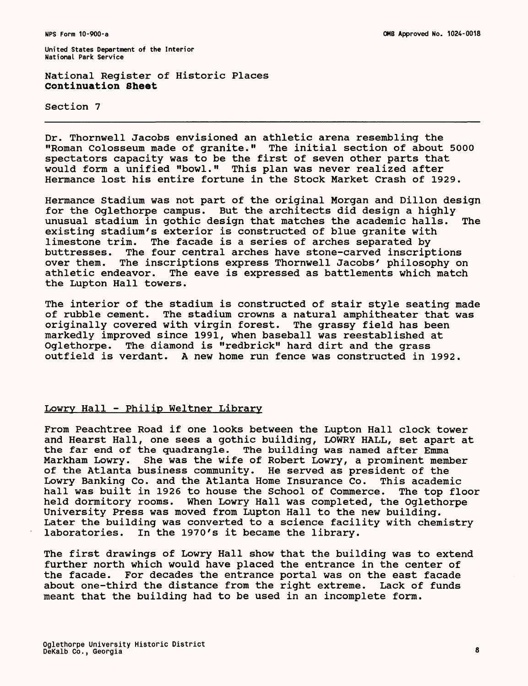National Register of Historic Places **Continuation Sheet**

Section 7

Dr. Thornwell Jacobs envisioned an athletic arena resembling the "Roman Colosseum made of granite." The initial section of about 5000 spectators capacity was to be the first of seven other parts that would form a unified "bowl." This plan was never realized after Hermance lost his entire fortune in the Stock Market Crash of 1929.

Hermance Stadium was not part of the original Morgan and Dillon design for the Oglethorpe campus. But the architects did design a highly<br>unusual stadium in gothic design that matches the academic halls. The unusual stadium in gothic design that matches the academic halls. existing stadium's exterior is constructed of blue granite with limestone trim. The facade is a series of arches separated by buttresses. The four central arches have stone-carved inscriptions over them. The inscriptions express Thornwell Jacobs' philosophy on athletic endeavor. The eave is expressed as battlements which match the Lupton Hall towers.

The interior of the stadium is constructed of stair style seating made of rubble cement. The stadium crowns a natural amphitheater that was originally covered with virgin forest. The grassy field has been markedly improved since 1991, when baseball was reestablished at Oglethorpe. The diamond is "redbrick" hard dirt and the grass outfield is verdant. A new home run fence was constructed in 1992.

# Lowry Hall - Philip Weltner Library

From Peachtree Road if one looks between the Lupton Hall clock tower and Hearst Hall, one sees a gothic building, LOWRY HALL, set apart at the far end of the guadrangle. The building was named after Emma Markham Lowry. She was the wife of Robert Lowry, a prominent member of the Atlanta business community. He served as president of the Lowry Banking Co. and the Atlanta Home Insurance Co. This academic hall was built in 1926 to house the School of Commerce. The top floor held dormitory rooms. When Lowry Hall was completed, the Oglethorpe University Press was moved from Lupton Hall to the new building. Later the building was converted to a science facility with chemistry laboratories. In the 1970's it became the library.

The first drawings of Lowry Hall show that the building was to extend further north which would have placed the entrance in the center of the facade. For decades the entrance portal was on the east facade about one-third the distance from the right extreme. Lack of funds meant that the building had to be used in an incomplete form.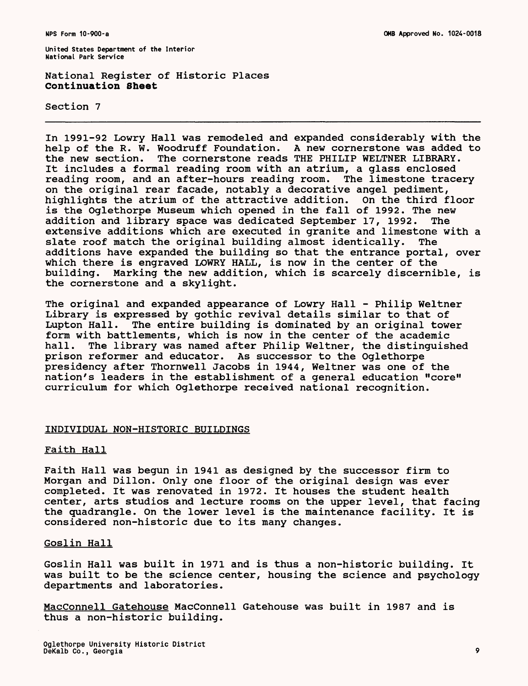National Register of Historic Places **Continuation Sheet**

Section 7

In 1991-92 Lowry Hall was remodeled and expanded considerably with the help of the R. W. Woodruff Foundation. A new cornerstone was added to help of the R. W. Woodruff Foundation. the new section. The cornerstone reads THE PHILIP WELTNER LIBRARY. It includes a formal reading room with an atrium, a glass enclosed reading room, and an after-hours reading room. The limestone tracery on the original rear facade, notably a decorative angel pediment, highlights the atrium of the attractive addition. On the third floor is the Oglethorpe Museum which opened in the fall of 1992. The new addition and library space was dedicated September 17, 1992. The extensive additions which are executed in granite and limestone with a slate roof match the original building almost identically. The additions have expanded the building so that the entrance portal, over which there is engraved LOWRY HALL, is now in the center of the building. Marking the new addition, which is scarcely discernible, is the cornerstone and a skylight.

The original and expanded appearance of Lowry Hall - Philip Weltner Library is expressed by gothic revival details similar to that of Lupton Hall. The entire building is dominated by an original tower form with battlements, which is now in the center of the academic hall. The library was named after Philip Weltner, the distinguished prison reformer and educator. As successor to the Oglethorpe presidency after Thornwell Jacobs in 1944, Weltner was one of the nation's leaders in the establishment of a general education "core" curriculum for which Oglethorpe received national recognition.

#### INDIVIDUAL NON-HISTORIC BUILDINGS

#### Faith Hall

Faith Hall was begun in 1941 as designed by the successor firm to Morgan and Dillon. Only one floor of the original design was ever completed. It was renovated in 1972. It houses the student health center, arts studios and lecture rooms on the upper level, that facing the quadrangle. On the lower level is the maintenance facility. It is considered non-historic due to its many changes.

## Goslin Hall

Goslin Hall was built in 1971 and is thus a non-historic building. It was built to be the science center, housing the science and psychology departments and laboratories.

MacConnell Gatehouse MacConnell Gatehouse was built in 1987 and is thus a non-historic building.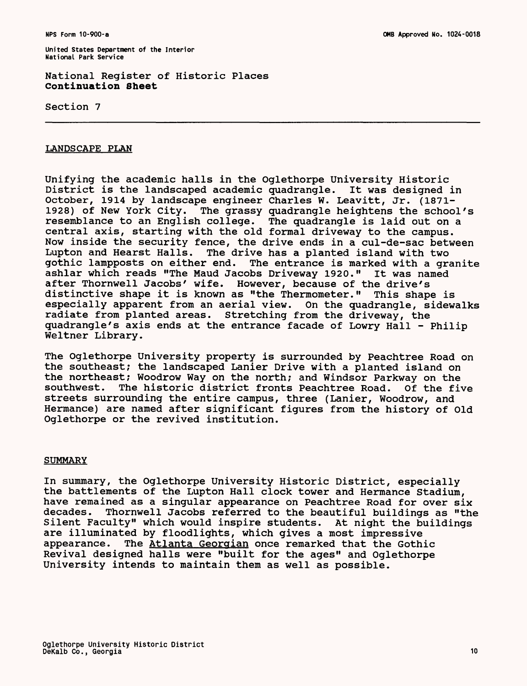National Register of Historic Places Continuation Sheet

Section 7

## LANDSCAPE PLAN

Unifying the academic halls in the Oglethorpe University Historic District is the landscaped academic quadrangle. It was designed in October, 1914 by landscape engineer Charles W. Leavitt, Jr. (1871- 1928) of New York City. The grassy quadrangle heightens the school's resemblance to an English college. The quadrangle is laid out on a central axis, starting with the old formal driveway to the campus. Now inside the security fence, the drive ends in a cul-de-sac between<br>Lupton and Hearst Halls. The drive has a planted island with two The drive has a planted island with two gothic lampposts on either end. The entrance is marked with a granite ashlar which reads "The Maud Jacobs Driveway 1920." It was named after Thornwell Jacobs' wife. However, because of the drive's distinctive shape it is known as "the Thermometer." This shape is especially apparent from an aerial view. On the quadrangle, sidewalks radiate from planted areas. Stretching from the driveway, the quadrangle's axis ends at the entrance facade of Lowry Hall - Philip Weltner Library.

The Oglethorpe University property is surrounded by Peachtree Road on the southeast; the landscaped Lanier Drive with a planted island on the northeast; Woodrow Way on the north; and Windsor Parkway on the southwest. The historic district fronts Peachtree Road. Of the fiv The historic district fronts Peachtree Road. Of the five streets surrounding the entire campus, three (Lanier, Woodrow, and Hermance) are named after significant figures from the history of Old Oglethorpe or the revived institution.

#### SUMMARY

In summary, the Oglethorpe University Historic District, especially the battlements of the Lupton Hall clock tower and Hermance Stadium, have remained as a singular appearance on Peachtree Road for over six decades. Thornwell Jacobs referred to the beautiful buildings as "the Silent Faculty" which would inspire students. At night the buildings are illuminated by floodlights, which gives a most impressive appearance. The Atlanta Georgian once remarked that the Gothic Revival designed halls were "built for the ages" and Oglethorpe University intends to maintain them as well as possible.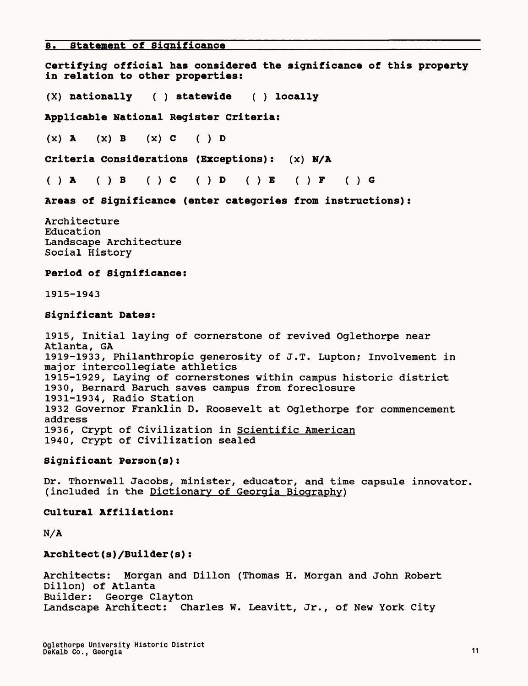**8. Statement of Significance**

**Certifying official has considered the significance of this property in relation to other properties:**

**(X) nationally ( ) statewide ( ) locally** 

**Applicable National Register Criteria:**

 $(X)$  A  $(X)$  B  $(X)$  C  $( )$  D

Criteria Considerations (Exceptions): (x) N/A

()A **( ) B ()C** ()D ()E ()P ()G

**Areas of Significance (enter categories from instructions):**

Architecture Education Landscape Architecture Social History

**Period of Significance:** 

1915-1943

## **Significant Dates:**

1915, Initial laying of cornerstone of revived Oglethorpe near Atlanta, GA 1919-1933, Philanthropic generosity of J.T. Lupton; Involvement in major intercollegiate athletics 1915-1929, Laying of cornerstones within campus historic district 1930, Bernard Baruch saves campus from foreclosure 1931-1934, Radio Station 1932 Governor Franklin D. Roosevelt at Oglethorpe for commencement address 1936, Crypt of Civilization in Scientific American 1940, Crypt of Civilization sealed

# **Significant Person(s):**

Dr. Thornwell Jacobs, minister, educator, and time capsule innovator, (included in the Dictionary of Georgia Biography)

**Cultural Affiliation:** 

**N/A** 

# **Architect(s)/Builder(s):**

Architects: Morgan and Dillon (Thomas H. Morgan and John Robert Dillon) of Atlanta Builder: George Clayton Landscape Architect: Charles W. Leavitt, Jr., of New York City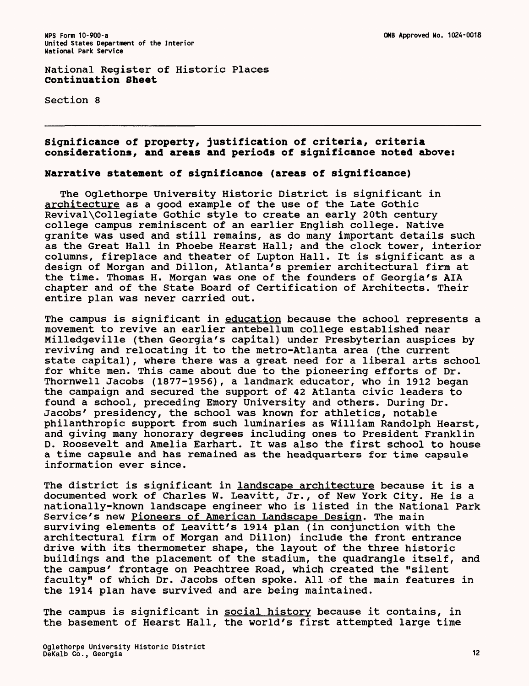National Register of Historic Places **Continuation Sheet**

Section 8

# **Significance of property, justification of criteria, criteria considerations, and areas and periods of significance noted above:**

## **Narrative statement of significance (areas of significance)**

The Oglethorpe University Historic District is significant in architecture as a good example of the use of the Late Gothic Revival\Collegiate Gothic style to create an early 20th century college campus reminiscent of an earlier English college. Native granite was used and still remains, as do many important details such as the Great Hall in Phoebe Hearst Hall; and the clock tower, interior columns, fireplace and theater of Lupton Hall. It is significant as a design of Morgan and Dillon, Atlanta's premier architectural firm at the time. Thomas H. Morgan was one of the founders of Georgia's AIA chapter and of the State Board of Certification of Architects. Their entire plan was never carried out.

The campus is significant in education because the school represents a movement to revive an earlier antebellum college established near Milledgeville (then Georgia's capital) under Presbyterian auspices by reviving and relocating it to the metro-Atlanta area (the current state capital), where there was a great need for a liberal arts school for white men. This came about due to the pioneering efforts of Dr. Thornwell Jacobs (1877-1956), a landmark educator, who in 1912 began the campaign and secured the support of 42 Atlanta civic leaders to found a school, preceding Emory University and others. During Dr. Jacobs' presidency, the school was known for athletics, notable philanthropic support from such luminaries as William Randolph Hearst, and giving many honorary degrees including ones to President Franklin D. Roosevelt and Amelia Earhart. It was also the first school to house a time capsule and has remained as the headquarters for time capsule information ever since.

The district is significant in landscape architecture because it is a documented work of Charles W. Leavitt, Jr., of New York City. He is a nationally-known landscape engineer who is listed in the National Park Service's new Pioneers of American Landscape Design. The main surviving elements of Leavitt's 1914 plan (in conjunction with the architectural firm of Morgan and Dillon) include the front entrance drive with its thermometer shape, the layout of the three historic buildings and the placement of the stadium, the quadrangle itself, and the campus' frontage on Peachtree Road, which created the "silent faculty" of which Dr. Jacobs often spoke. All of the main features in the 1914 plan have survived and are being maintained.

The campus is significant in social history because it contains, in the basement of Hearst Hall, the world's first attempted large time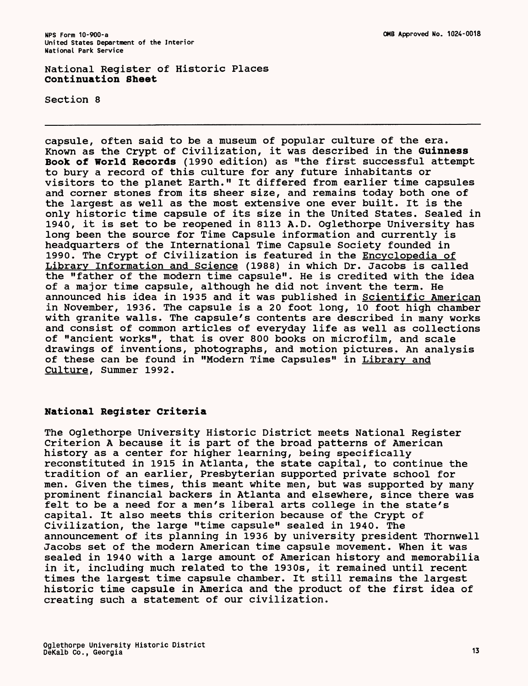National Register of Historic Places **Continuation Sheet**

Section 8

capsule, often said to be a museum of popular culture of the era. Known as the Crypt of Civilization, it was described in the **Guinness Book of World Records** (1990 edition) as "the first successful attempt to bury a record of this culture for any future inhabitants or visitors to the planet Earth." It differed from earlier time capsules and corner stones from its sheer size, and remains today both one of the largest as well as the most extensive one ever built. It is the only historic time capsule of its size in the United States. Sealed in 1940, it is set to be reopened in 8113 A.D. Oglethorpe University has long been the source for Time Capsule information and currently is headquarters of the International Time Capsule Society founded in 1990. The Crypt of Civilization is featured in the Encyclopedia of Library Information and Science (1988) in which Dr. Jacobs is called the "father of the modern time capsule". He is credited with the idea of a major time capsule, although he did not invent the term. He announced his idea in 1935 and it was published in Scientific American in November, 1936. The capsule is a 20 foot long, 10 foot high chamber with granite walls. The capsule's contents are described in many works and consist of common articles of everyday life as well as collections of "ancient works", that is over 800 books on microfilm, and scale drawings of inventions, photographs, and motion pictures. An analysis of these can be found in "Modern Time Capsules" in Library and Culture, Summer 1992.

#### **National Register Criteria**

The Oglethorpe University Historic District meets National Register Criterion A because it is part of the broad patterns of American history as a center for higher learning, being specifically reconstituted in 1915 in Atlanta, the state capital, to continue the tradition of an earlier, Presbyterian supported private school for men. Given the times, this meant white men, but was supported by many prominent financial backers in Atlanta and elsewhere, since there was felt to be a need for a men's liberal arts college in the state's capital. It also meets this criterion because of the Crypt of Civilization, the large "time capsule" sealed in 1940. The announcement of its planning in 1936 by university president Thornwell Jacobs set of the modern American time capsule movement. When it was sealed in 1940 with a large amount of American history and memorabilia in it, including much related to the 1930s, it remained until recent times the largest time capsule chamber. It still remains the largest historic time capsule in America and the product of the first idea of creating such a statement of our civilization.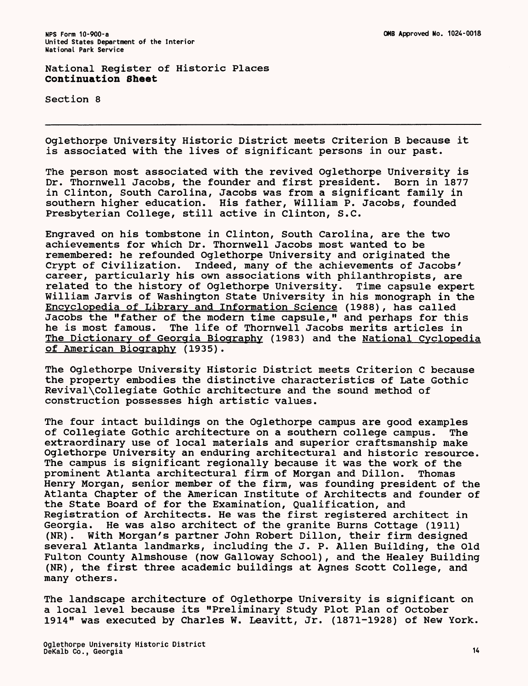National Register of Historic Places **Continuation Sheet**

Section 8

Oglethorpe University Historic District meets Criterion B because it is associated with the lives of significant persons in our past.

The person most associated with the revived Oglethorpe University is Dr. Thornwell Jacobs, the founder and first president. Born in 1877 in Clinton, South Carolina, Jacobs was from a significant family in southern higher education. His father, William P. Jacobs, founded Presbyterian College, still active in Clinton, S.C.

Engraved on his tombstone in Clinton, South Carolina, are the two achievements for which Dr. Thornwell Jacobs most wanted to be remembered: he refounded Oglethorpe University and originated the Crypt of Civilization. Indeed, many of the achievements of Jacobs' career, particularly his own associations with philanthropists, are related to the history of Oglethorpe University. Time capsule expert William Jarvis of Washington State University in his monograph in the Encyclopedia of Library and Information Science (1988), has called Jacobs the "father of the modern time capsule," and perhaps for this<br>he is most famous. The life of Thornwell Jacobs merits articles in The life of Thornwell Jacobs merits articles in The Dictionary of Georgia Biography (1983) and the National Cyclopedia of American Biography (1935).

The Oglethorpe University Historic District meets Criterion C because the property embodies the distinctive characteristics of Late Gothic Revival\Collegiate Gothic architecture and the sound method of construction possesses high artistic values.

The four intact buildings on the Oglethorpe campus are good examples of Collegiate Gothic architecture on a southern college campus. The extraordinary use of local materials and superior craftsmanship make Oglethorpe University an enduring architectural and historic resource. The campus is significant regionally because it was the work of the prominent Atlanta architectural firm of Morgan and Dillon. Thomas Henry Morgan, senior member of the firm, was founding president of the Atlanta Chapter of the American Institute of Architects and founder of the State Board of for the Examination, Qualification, and Registration of Architects. He was the first registered architect in Georgia. He was also architect of the granite Burns Cottage (1911) (NR). With Morgan's partner John Robert Dillon, their firm designed several Atlanta landmarks, including the J. P. Alien Building, the Old Fulton County Almshouse (now Galloway School), and the Healey Building (NR), the first three academic buildings at Agnes Scott College, and many others.

The landscape architecture of Oglethorpe University is significant on a local level because its "Preliminary Study Plot Plan of October 1914" was executed by Charles W. Leavitt, Jr. (1871-1928) of New York.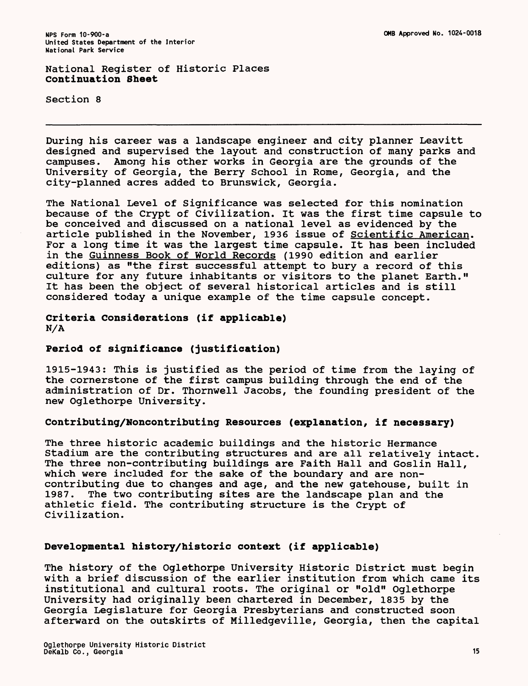National Register of Historic Places **Continuation Sheet**

Section 8

During his career was a landscape engineer and city planner Leavitt designed and supervised the layout and construction of many parks and campuses. Among his other works in Georgia are the grounds of the University of Georgia, the Berry School in Rome, Georgia, and the city-planned acres added to Brunswick, Georgia.

The National Level of Significance was selected for this nomination because of the Crypt of Civilization. It was the first time capsule to be conceived and discussed on a national level as evidenced by the article published in the November, 1936 issue of Scientific American. For a long time it was the largest time capsule. It has been included in the Guinness Book of World Records (1990 edition and earlier editions) as "the first successful attempt to bury a record of this culture for any future inhabitants or visitors to the planet Earth." It has been the object of several historical articles and is still considered today a unique example of the time capsule concept.

**Criteria Considerations (if applicable)** N/A

# **Period of significance (justification)**

1915-1943: This is justified as the period of time from the laying of the cornerstone of the first campus building through the end of the administration of Dr. Thornwell Jacobs, the founding president of the new Oglethorpe University.

# **Contributing/Noncontributing Resources (explanation, if necessary)**

The three historic academic buildings and the historic Hermance Stadium are the contributing structures and are all relatively intact. The three non-contributing buildings are Faith Hall and Goslin Hall, which were included for the sake of the boundary and are noncontributing due to changes and age, and the new gatehouse, built in 1987. The two contributing sites are the landscape plan and the athletic field. The contributing structure is the Crypt of Civilization.

## **Developmental history/historic context (if applicable)**

The history of the Oglethorpe University Historic District must begin with a brief discussion of the earlier institution from which came its institutional and cultural roots. The original or "old" Oglethorpe University had originally been chartered in December, 1835 by the Georgia Legislature for Georgia Presbyterians and constructed soon afterward on the outskirts of Milledgeville, Georgia, then the capital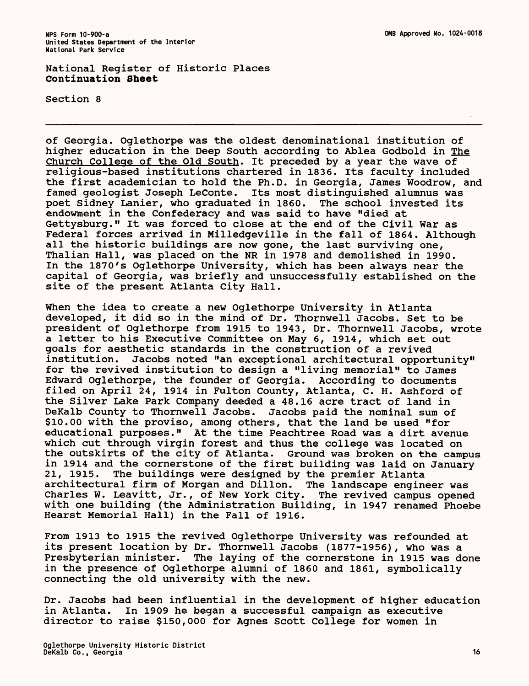National Register of Historic Places Continuation Sheet

Section 8

of Georgia. Oglethorpe was the oldest denominational institution of higher education in the Deep South according to Ablea Godbold in The Church College of the Old South. It preceded by a year the wave of religious-based institutions chartered in 1836. Its faculty included the first academician to hold the Ph.D. in Georgia, James Woodrow, and famed geologist Joseph LeConte. Its most distinguished alumnus was poet Sidney Lanier, who graduated in 1860. The school invested its endowment in the Confederacy and was said to have "died at Gettysburg." It was forced to close at the end of the Civil War as Federal forces arrived in Milledgeville in the fall of 1864. Although all the historic buildings are now gone, the last surviving one, Thalian Hall, was placed on the NR in 1978 and demolished in 1990. In the 1870's Oglethorpe University, which has been always near the capital of Georgia, was briefly and unsuccessfully established on the site of the present Atlanta City Hall.

When the idea to create a new Oglethorpe University in Atlanta developed, it did so in the mind of Dr. Thornwell Jacobs. Set to be president of Oglethorpe from 1915 to 1943, Dr. Thornwell Jacobs, wrote a letter to his Executive Committee on May 6, 1914, which set out goals for aesthetic standards in the construction of a revived<br>institution. Jacobs noted "an exceptional architectural opport Jacobs noted "an exceptional architectural opportunity" for the revived institution to design a "living memorial" to James Edward Oglethorpe, the founder of Georgia. According to documents filed on April 24, 1914 in Fulton County, Atlanta, C. H. Ashford of the Silver Lake Park Company deeded a 48.16 acre tract of land in DeKalb County to Thornwell Jacobs. Jacobs paid the nominal sum of \$10.00 with the proviso, among others, that the land be used "for educational purposes." At the time Peachtree Road was a dirt avenue which cut through virgin forest and thus the college was located on the outskirts of the city of Atlanta. Ground was broken on the campus in 1914 and the cornerstone of the first building was laid on January 21, 1915. The buildings were designed by the premier Atlanta architectural firm of Morgan and Dillon. The landscape engineer was Charles W. Leavitt, Jr., of New York City. The revived campus opened with one building (the Administration Building, in 1947 renamed Phoebe Hearst Memorial Hall) in the Fall of 1916.

From 1913 to 1915 the revived Oglethorpe University was refounded at its present location by Dr. Thornwell Jacobs (1877-1956), who was a Presbyterian minister. The laying of the cornerstone in 1915 was done in the presence of Oglethorpe alumni of 1860 and 1861, symbolically connecting the old university with the new.

Dr. Jacobs had been influential in the development of higher education in Atlanta. In 1909 he began a successful campaign as executive director to raise \$150,000 for Agnes Scott College for women in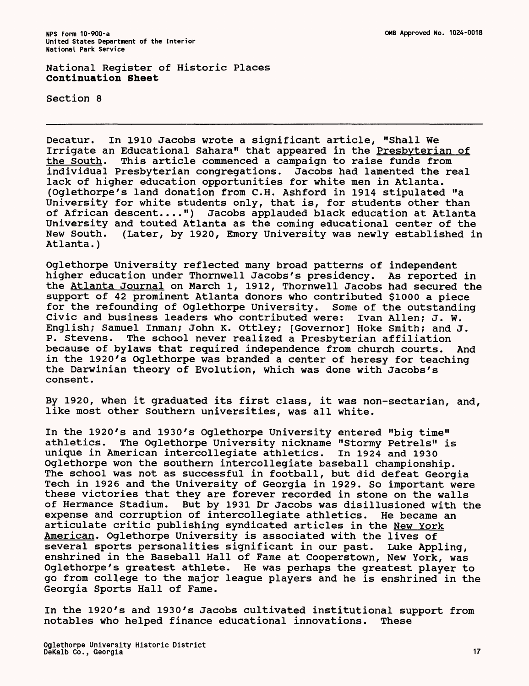National Register of Historic Places **Continuation Sheet**

Section 8

Decatur. In 1910 Jacobs wrote a significant article, "Shall We Irrigate an Educational Sahara" that appeared in the Presbyterian of the South. This article commenced a campaign to raise funds from This article commenced a campaign to raise funds from individual Presbyterian congregations. Jacobs had lamented the real lack of higher education opportunities for white men in Atlanta. (Oglethorpe's land donation from C.H. Ashford in 1914 stipulated "a University for white students only, that is, for students other than of African descent....") Jacobs applauded black education at Atlanta University and touted Atlanta as the coming educational center of the New South. (Later, by 1920, Emory University was newly established in Atlanta.)

Oglethorpe University reflected many broad patterns of independent higher education under Thornwell Jacobs's presidency. As reported in the Atlanta Journal on March 1, 1912, Thornwell Jacobs had secured the support of 42 prominent Atlanta donors who contributed \$1000 a piece for the refounding of Oglethorpe University. Some of the outstanding Civic and business leaders who contributed were: Ivan Alien; J. W. English; Samuel Inman; John K. Ottley; [Governor] Hoke Smith; and J. P. Stevens. The school never realized a Presbyterian affiliation because of bylaws that required independence from church courts. And in the 1920's Oglethorpe was branded a center of heresy for teaching the Darwinian theory of Evolution, which was done with Jacobs's consent.

By 1920, when it graduated its first class, it was non-sectarian, and, like most other Southern universities, was all white.

In the 1920's and 1930's Oglethorpe University entered "big time" The Oglethorpe University nickname "Stormy Petrels" is<br>erican intercollegiate athletics. In 1924 and 1930 unique in American intercollegiate athletics. Oglethorpe won the southern intercollegiate baseball championship. The school was not as successful in football, but did defeat Georgia Tech in 1926 and the University of Georgia in 1929. So important were these victories that they are forever recorded in stone on the walls<br>of Hermance Stadium. But by 1931 Dr Jacobs was disillusioned with the But by 1931 Dr Jacobs was disillusioned with the expense and corruption of intercollegiate athletics. He became an articulate critic publishing syndicated articles in the New York American. Oglethorpe University is associated with the lives of several sports personalities significant in our past. Luke Appling, enshrined in the Baseball Hall of Fame at Cooperstown, New York, was Oglethorpe's greatest athlete. He was perhaps the greatest player to go from college to the major league players and he is enshrined in the Georgia Sports Hall of Fame.

In the 1920's and 1930's Jacobs cultivated institutional support from notables who helped finance educational innovations. These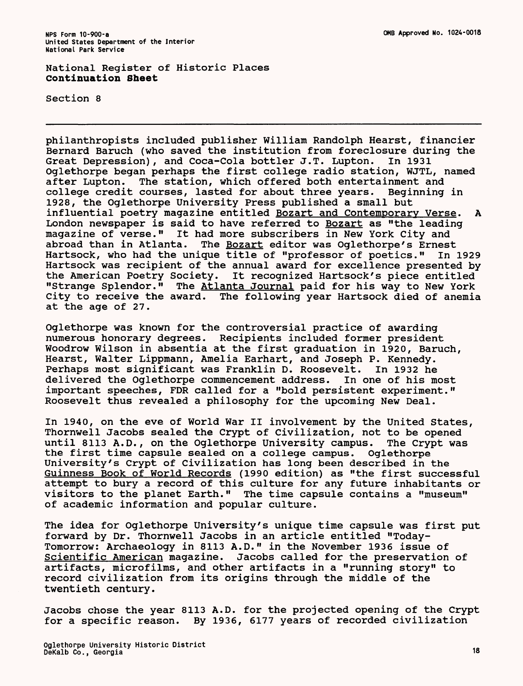National Register of Historic Places **Continuation Sheet**

Section 8

philanthropists included publisher William Randolph Hearst, financier Bernard Baruch (who saved the institution from foreclosure during the Great Depression), and Coca-Cola bottler J.T. Lupton. In 1931 Great Depression), and Coca-Cola bottler J.T. Lupton. Oglethorpe began perhaps the first college radio station, WJTL, named after Lupton. The station, which offered both entertainment and college credit courses, lasted for about three years. Beginning in 1928, the Oglethorpe University Press published a small but influential poetry magazine entitled Bozart and Contemporary Verse. A London newspaper is said to have referred to Bozart as "the leading magazine of verse." It had more subscribers in New York City and<br>abroad than in Atlanta. The Bozart editor was Oglethorpe's Ernest The Bozart editor was Oglethorpe's Ernest Hartsock, who had the unique title of "professor of poetics." In 1929 Hartsock was recipient of the annual award for excellence presented by the American Poetry Society. It recognized Hartsock's piece entitled "Strange Splendor." The Atlanta Journal paid for his way to New York City to receive the award. The following year Hartsock died of anemia at the age of 27.

Oglethorpe was known for the controversial practice of awarding numerous honorary degrees. Recipients included former president Woodrow Wilson in absentia at the first graduation in 1920, Baruch, Hearst, Walter Lippmann, Amelia Earhart, and Joseph P. Kennedy. Perhaps most significant was Franklin D. Roosevelt. In 1932 he delivered the Oglethorpe commencement address. In one of his most important speeches, FDR called for a "bold persistent experiment." Roosevelt thus revealed a philosophy for the upcoming New Deal.

In 1940, on the eve of World War II involvement by the United States, Thornwell Jacobs sealed the Crypt of Civilization, not to be opened until 8113 A.D., on the Oglethorpe University campus. The Crypt was the first time capsule sealed on a college campus. Oglethorpe University's Crypt of Civilization has long been described in the Guinness Book of World Records (1990 edition) as "the first successful attempt to bury a record of this culture for any future inhabitants or visitors to the planet Earth." The time capsule contains a "museum" of academic information and popular culture.

The idea for Oglethorpe University's unique time capsule was first put forward by Dr. Thornwell Jacobs in an article entitled "Today-Tomorrow: Archaeology in 8113 A.D." in the November 1936 issue of Scientific American magazine. Jacobs called for the preservation of artifacts, microfilms, and other artifacts in a "running story" to record civilization from its origins through the middle of the twentieth century.

Jacobs chose the year 8113 A.D. for the projected opening of the Crypt for a specific reason. By 1936, 6177 years of recorded civilization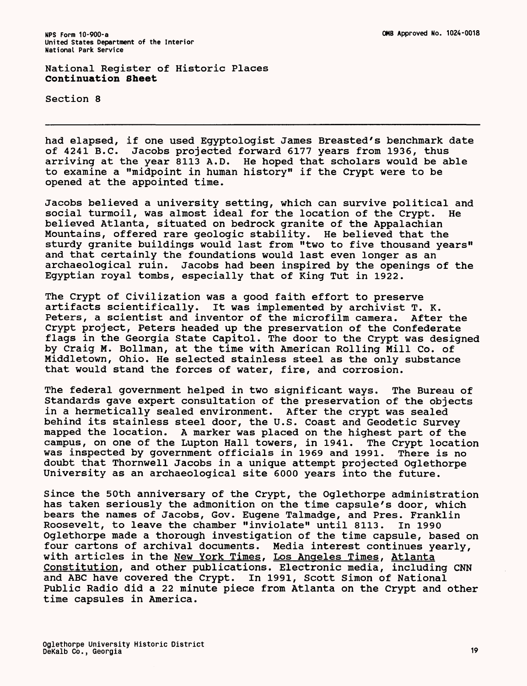National Register of Historic Places **Continuation Sheet**

Section 8

had elapsed, if one used Egyptologist James Breasted's benchmark date of 4241 B.C. Jacobs projected forward 6177 years from 1936, thus arriving at the year 8113 A.D. He hoped that scholars would be able to examine a "midpoint in human history" if the Crypt were to be opened at the appointed time.

Jacobs believed a university setting, which can survive political and social turmoil, was almost ideal for the location of the Crypt. He believed Atlanta, situated on bedrock granite of the Appalachian Mountains, offered rare geologic stability. He believed that the sturdy granite buildings would last from "two to five thousand years" and that certainly the foundations would last even longer as an archaeological ruin. Jacobs had been inspired by the openings of the Egyptian royal tombs, especially that of King Tut in 1922.

The Crypt of Civilization was a good faith effort to preserve artifacts scientifically. It was implemented by archivist T. K. Peters, a scientist and inventor of the microfilm camera. After the Crypt project, Peters headed up the preservation of the Confederate flags in the Georgia State Capitol. The door to the Crypt was designed by Craig M. Bollman, at the time with American Rolling Mill Co. of Middletown, Ohio. He selected stainless steel as the only substance that would stand the forces of water, fire, and corrosion.

The federal government helped in two significant ways. The Bureau of Standards gave expert consultation of the preservation of the objects in a hermetically sealed environment. After the crypt was sealed behind its stainless steel door, the U.S. Coast and Geodetic Survey mapped the location. A marker was placed on the highest part of the campus, on one of the Lupton Hall towers, in 1941. The Crypt location was inspected by government officials in 1969 and 1991. There is no doubt that Thornwell Jacobs in a unique attempt projected Oglethorpe University as an archaeological site 6000 years into the future.

Since the 50th anniversary of the Crypt, the Oglethorpe administration has taken seriously the admonition on the time capsule's door, which bears the names of Jacobs, Gov. Eugene Talmadge, and Pres. Franklin Roosevelt, to leave the chamber "inviolate" until 8113. In 1990 Oglethorpe made a thorough investigation of the time capsule, based on four cartons of archival documents. Media interest continues yearly, with articles in the New York Times, Los Angeles Times, Atlanta Constitution, and other publications. Electronic media, including CNN and ABC have covered the Crypt. In 1991, Scott Simon of National Public Radio did a 22 minute piece from Atlanta on the Crypt and other time capsules in America.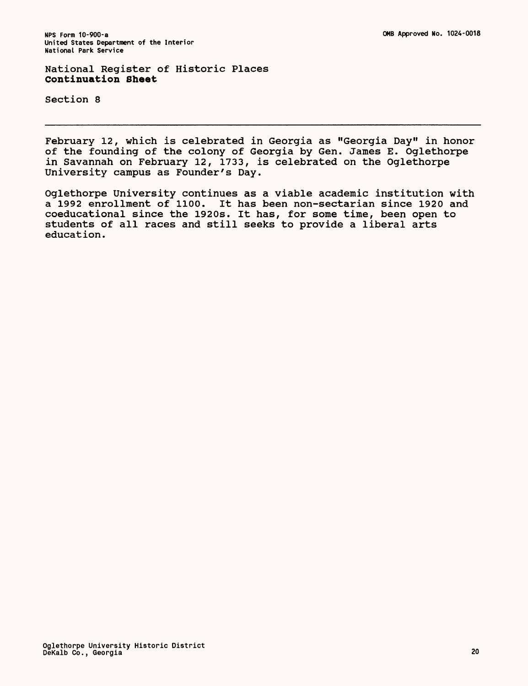National Register of Historic Places **Continuation Sheet**

Section 8

February 12, which is celebrated in Georgia as "Georgia Day" in honor of the founding of the colony of Georgia by Gen. James E. Oglethorpe in Savannah on February 12, 1733, is celebrated on the Oglethorpe University campus as Founder's Day.

Oglethorpe University continues as a viable academic institution with a 1992 enrollment of 1100. It has been non-sectarian since 1920 and coeducational since the 1920s. It has, for some time, been open to students of all races and still seeks to provide a liberal arts education.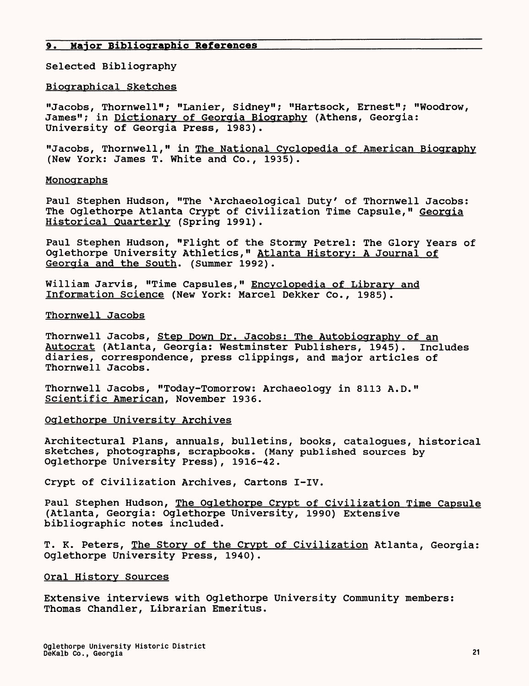# 9. Maior **Bibliographic References**

Selected Bibliography

## Biographical Sketches

"Jacobs, Thornwell"; "Lanier, Sidney"; "Hartsock, Ernest"; "Woodrow, James"; in Dictionary of Georgia Biography (Athens, Georgia: University of Georgia Press, 1983).

"Jacobs, Thornwell," in The National Cyclopedia of American Biography (New York: James T. White and Co., 1935).

## Monographs

Paul Stephen Hudson, "The \*Archaeological Duty' of Thornwell Jacobs: The Oglethorpe Atlanta Crypt of Civilization Time Capsule," Georgia Historical Quarterly (Spring 1991).

Paul Stephen Hudson, "Flight of the Stormy Petrel: The Glory Years of Oglethorpe University Athletics," Atlanta History; A Journal of Georgia and the South. (Summer 1992).

William Jarvis, "Time Capsules," Encyclopedia of Library and Information Science (New York: Marcel Dekker Co., 1985).

# Thornwell Jacobs

Thornwell Jacobs, Step Down Dr. Jacobs; The Autobiography of an Autocrat (Atlanta, Georgia: Westminster Publishers, 1945). Includes diaries, correspondence, press clippings, and major articles of Thornwell Jacobs.

Thornwell Jacobs, "Today-Tomorrow: Archaeology in 8113 A.D." Scientific American. November 1936.

# Oglethorpe University Archives

Architectural Plans, annuals, bulletins, books, catalogues, historical sketches, photographs, scrapbooks. (Many published sources by Oglethorpe University Press), 1916-42.

Crypt of Civilization Archives, Cartons I-IV.

Paul Stephen Hudson, The Oglethorpe Crypt of Civilization Time Capsule (Atlanta, Georgia: Oglethorpe University, 1990) Extensive bibliographic notes included.

T. K. Peters, <u>The Story of the Crypt of Civilization</u> Atlanta, Georgia: Oglethorpe University Press, 1940).

#### Oral History Sources

Extensive interviews with Oglethorpe University Community members: Thomas Chandler, Librarian Emeritus.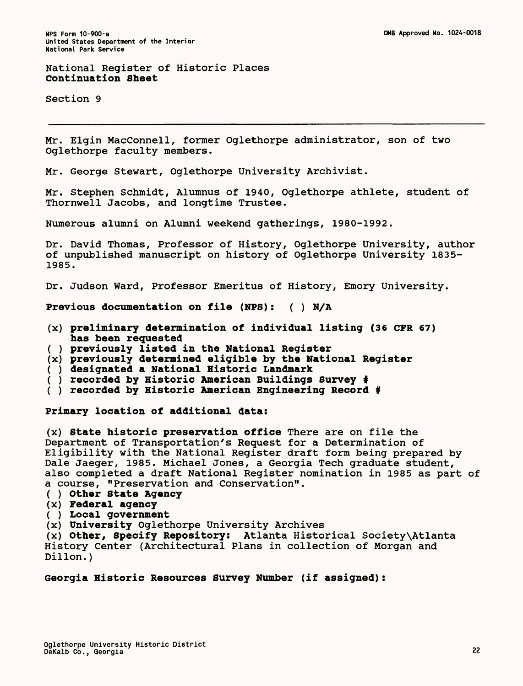## National Register of Historic Places **Continuation Sheet**

Section 9

Mr. Elgin MacConnell, former Oglethorpe administrator, son of two Oglethorpe faculty members.

Mr. George Stewart, Oglethorpe University Archivist.

Mr. Stephen Schmidt, Alumnus of 1940, Oglethorpe athlete, student of Thornwell Jacobs, and longtime Trustee.

Numerous alumni on Alumni weekend gatherings, 1980-1992.

Dr. David Thomas, Professor of History, Oglethorpe University, author of unpublished manuscript on history of Oglethorpe University 1835- 1985.

Dr. Judson Ward, Professor Emeritus of History, Emory University.

**Previous documentation on file (NFS): ( ) N/A**

- (x) **preliminary determination of individual listing (36** CFR **67) has been requested**
- **( ) previously listed in the National Register**
- (x) **previously determined eligible by the National Register**
- **( ) designated a National Historic Landmark**
- **( ) recorded by Historic American Buildings Survey #**
- **( ) recorded by Historic American Engineering Record #**

**Primary location of additional data:**

(x) **State historic preservation office** There are on file the Department of Transportation's Request for a Determination of Eligibility with the National Register draft form being prepared by Dale Jaeger, 1985. Michael Jones, a Georgia Tech graduate student, also completed a draft National Register nomination in 1985 as part of a course, "Preservation and Conservation".

- **( ) Other State Agency**
- (x) **Federal agency**
- **( ) Local government**

(x) **University** Oglethorpe University Archives

(x) **Other, Specify Repository:** Atlanta Historical Society\Atlanta History Center (Architectural Plans in collection of Morgan and Dillon.)

# **Georgia Historic Resources Survey** Number **(if assigned):**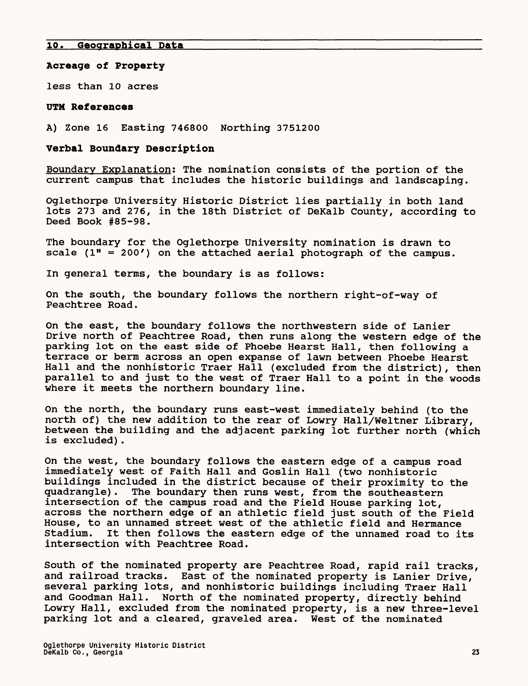#### **Acreage of Property**

less than 10 acres

#### UTM **References**

A) Zone 16 Easting 746800 Northing 3751200

#### **Verbal Boundary Description**

Boundary Explanation; The nomination consists of the portion of the current campus that includes the historic buildings and landscaping.

Oglethorpe University Historic District lies partially in both land lots 273 and 276, in the 18th District of DeKalb County, according to Deed Book #85-98.

The boundary for the Oglethorpe University nomination is drawn to scale  $(1" = 200')$  on the attached aerial photograph of the campus.

In general terms, the boundary is as follows:

On the south, the boundary follows the northern right-of-way of Peachtree Road.

On the east, the boundary follows the northwestern side of Lanier Drive north of Peachtree Road, then runs along the western edge of the parking lot on the east side of Phoebe Hearst Hall, then following a terrace or berm across an open expanse of lawn between Phoebe Hearst Hall and the nonhistoric Traer Hall (excluded from the district), then parallel to and just to the west of Traer Hall to a point in the woods where it meets the northern boundary line.

On the north, the boundary runs east-west immediately behind (to the north of) the new addition to the rear of Lowry Hall/Weltner Library, between the building and the adjacent parking lot further north (which is excluded).

On the west, the boundary follows the eastern edge of a campus road immediately west of Faith Hall and Goslin Hall (two nonhistoric buildings included in the district because of their proximity to the quadrangle). The boundary then runs west, from the southeastern intersection of the campus road and the Field House parking lot, across the northern edge of an athletic field just south of the Field House, to an unnamed street west of the athletic field and Hermance It then follows the eastern edge of the unnamed road to its intersection with Peachtree Road.

South of the nominated property are Peachtree Road, rapid rail tracks, and railroad tracks. East of the nominated property is Lanier Drive, several parking lots, and nonhistoric buildings including Traer Hall and Goodman Hall. North of the nominated property, directly behind Lowry Hall, excluded from the nominated property, is a new three-level parking lot and a cleared, graveled area. West of the nominated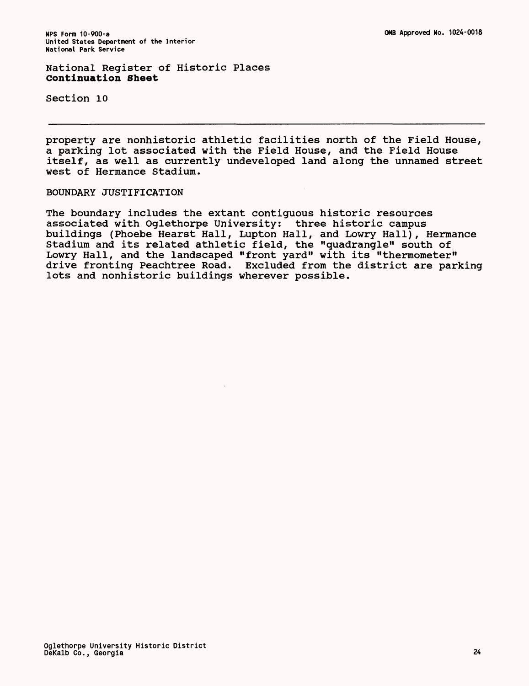National Register of Historic Places **Continuation Sheet**

Section 10

property are nonhistoric athletic facilities north of the Field House, a parking lot associated with the Field House, and the Field House itself, as well as currently undeveloped land along the unnamed street west of Hermance Stadium.

# BOUNDARY JUSTIFICATION

The boundary includes the extant contiguous historic resources associated with Oglethorpe University: three historic campus buildings (Phoebe Hearst Hall, Lupton Hall, and Lowry Hall), Hermance Stadium and its related athletic field, the "quadrangle" south of Lowry Hall, and the landscaped "front yard" with its "thermometer" drive fronting Peachtree Road. Excluded from the district are parking lots and nonhistoric buildings wherever possible.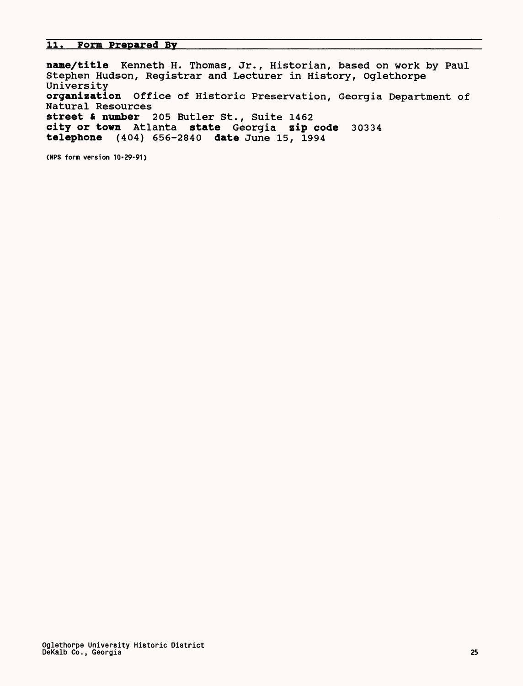## **11. Form Prepared Bv**

**name/title** Kenneth H. Thomas, Jr., Historian, based on work by Paul Stephen Hudson, Registrar and Lecturer in History, Oglethorpe University **organization** Office of Historic Preservation, Georgia Department of Natural Resources **street & number** 205 Butler St., Suite 1462 **city or town** Atlanta **state** Georgia **zip code** 30334 **telephone** (404) 656-2840 **date** June 15, 1994

**(HPS form version 10-29-91)**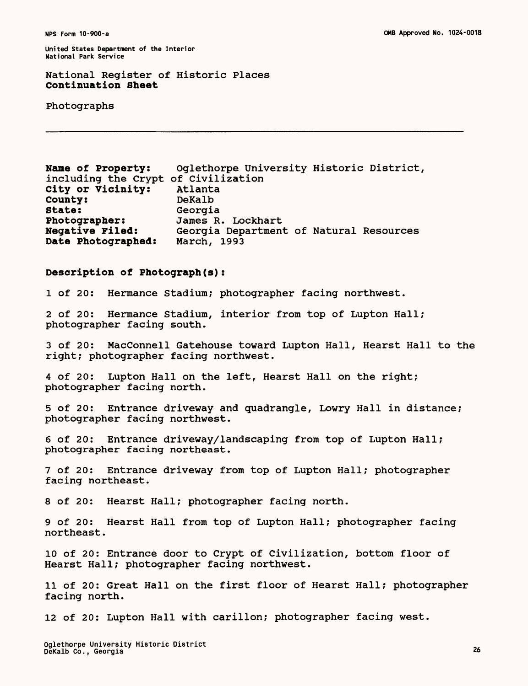# **National Register of Historic Places Continuation Sheet**

Photographs

| Oglethorpe University Historic District,<br>Name of Property:<br>including the Crypt of Civilization<br>City or Vicinity:<br>Atlanta<br>DeKalb<br>County:<br>State:<br>Georgia<br>Photographer:<br>James R. Lockhart<br><b>Negative Filed:</b><br>Georgia Department of Natural Resources<br>Date Photographed:<br>March, 1993 |
|--------------------------------------------------------------------------------------------------------------------------------------------------------------------------------------------------------------------------------------------------------------------------------------------------------------------------------|
| Description of Photograph(s):                                                                                                                                                                                                                                                                                                  |
| Hermance Stadium; photographer facing northwest.<br>$1$ of $20:$                                                                                                                                                                                                                                                               |
| 2 of 20: Hermance Stadium, interior from top of Lupton Hall;<br>photographer facing south.                                                                                                                                                                                                                                     |
| 3 of 20: MacConnell Gatehouse toward Lupton Hall, Hearst Hall to the<br>right; photographer facing northwest.                                                                                                                                                                                                                  |
| Lupton Hall on the left, Hearst Hall on the right;<br>4 of 20:<br>photographer facing north.                                                                                                                                                                                                                                   |
| Entrance driveway and quadrangle, Lowry Hall in distance;<br>5 of 20:<br>photographer facing northwest.                                                                                                                                                                                                                        |
| Entrance driveway/landscaping from top of Lupton Hall;<br>$6$ of $20:$<br>photographer facing northeast.                                                                                                                                                                                                                       |
| Entrance driveway from top of Lupton Hall; photographer<br>7 of 20:<br>facing northeast.                                                                                                                                                                                                                                       |
| 8 of 20: Hearst Hall; photographer facing north.                                                                                                                                                                                                                                                                               |
| Hearst Hall from top of Lupton Hall; photographer facing<br>9 of 20:<br>northeast.                                                                                                                                                                                                                                             |
| 10 of 20: Entrance door to Crypt of Civilization, bottom floor of<br>Hearst Hall; photographer facing northwest.                                                                                                                                                                                                               |
| 11 of 20: Great Hall on the first floor of Hearst Hall; photographer<br>facing north.                                                                                                                                                                                                                                          |
| 12 of 20: Lupton Hall with carillon; photographer facing west.                                                                                                                                                                                                                                                                 |